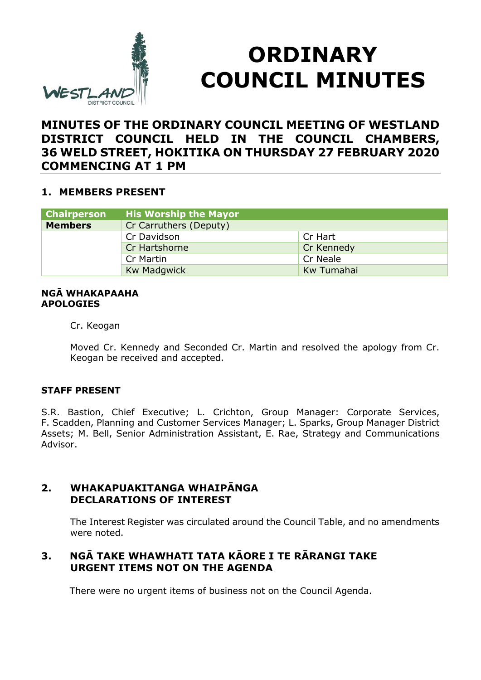

# **ORDINARY COUNCIL MINUTES**

# **MINUTES OF THE ORDINARY COUNCIL MEETING OF WESTLAND DISTRICT COUNCIL HELD IN THE COUNCIL CHAMBERS, 36 WELD STREET, HOKITIKA ON THURSDAY 27 FEBRUARY 2020 COMMENCING AT 1 PM**

## **1. MEMBERS PRESENT**

| <b>Chairperson</b> | <b>His Worship the Mayor</b> |            |
|--------------------|------------------------------|------------|
| <b>Members</b>     | Cr Carruthers (Deputy)       |            |
|                    | Cr Davidson                  | Cr Hart    |
|                    | Cr Hartshorne                | Cr Kennedy |
|                    | Cr Martin                    | Cr Neale   |
|                    | <b>Kw Madgwick</b>           | Kw Tumahai |

#### **NGĀ WHAKAPAAHA APOLOGIES**

Cr. Keogan

Moved Cr. Kennedy and Seconded Cr. Martin and resolved the apology from Cr. Keogan be received and accepted.

## **STAFF PRESENT**

S.R. Bastion, Chief Executive; L. Crichton, Group Manager: Corporate Services, F. Scadden, Planning and Customer Services Manager; L. Sparks, Group Manager District Assets; M. Bell, Senior Administration Assistant, E. Rae, Strategy and Communications Advisor.

## **2. WHAKAPUAKITANGA WHAIPĀNGA DECLARATIONS OF INTEREST**

The Interest Register was circulated around the Council Table, and no amendments were noted.

# **3. NGĀ TAKE WHAWHATI TATA KĀORE I TE RĀRANGI TAKE URGENT ITEMS NOT ON THE AGENDA**

There were no urgent items of business not on the Council Agenda.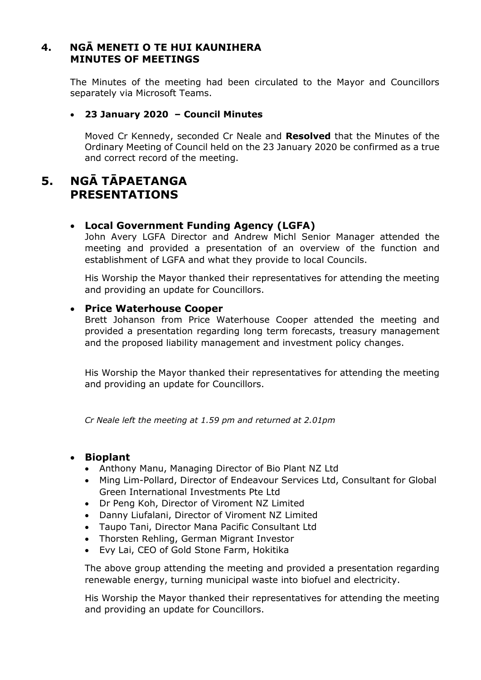# **4. NGĀ MENETI O TE HUI KAUNIHERA MINUTES OF MEETINGS**

The Minutes of the meeting had been circulated to the Mayor and Councillors separately via Microsoft Teams.

#### **23 January 2020 – Council Minutes**

Moved Cr Kennedy, seconded Cr Neale and **Resolved** that the Minutes of the Ordinary Meeting of Council held on the 23 January 2020 be confirmed as a true and correct record of the meeting.

# **5. NGĀ TĀPAETANGA PRESENTATIONS**

## **Local Government Funding Agency (LGFA)**

John Avery LGFA Director and Andrew Michl Senior Manager attended the meeting and provided a presentation of an overview of the function and establishment of LGFA and what they provide to local Councils.

His Worship the Mayor thanked their representatives for attending the meeting and providing an update for Councillors.

## **Price Waterhouse Cooper**

Brett Johanson from Price Waterhouse Cooper attended the meeting and provided a presentation regarding long term forecasts, treasury management and the proposed liability management and investment policy changes.

His Worship the Mayor thanked their representatives for attending the meeting and providing an update for Councillors.

*Cr Neale left the meeting at 1.59 pm and returned at 2.01pm*

#### **Bioplant**

- Anthony Manu, Managing Director of Bio Plant NZ Ltd
- Ming Lim-Pollard, Director of Endeavour Services Ltd, Consultant for Global Green International Investments Pte Ltd
- Dr Peng Koh, Director of Viroment NZ Limited
- Danny Liufalani, Director of Viroment NZ Limited
- Taupo Tani, Director Mana Pacific Consultant Ltd
- Thorsten Rehling, German Migrant Investor
- Evy Lai, CEO of Gold Stone Farm, Hokitika

The above group attending the meeting and provided a presentation regarding renewable energy, turning municipal waste into biofuel and electricity.

His Worship the Mayor thanked their representatives for attending the meeting and providing an update for Councillors.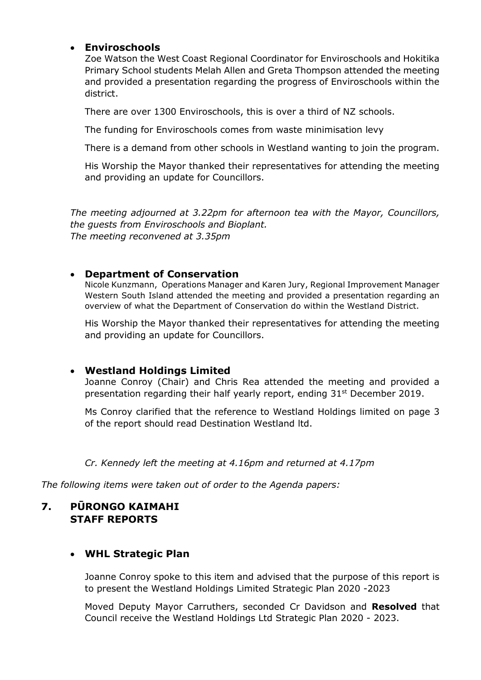## **Enviroschools**

Zoe Watson the West Coast Regional Coordinator for Enviroschools and Hokitika Primary School students Melah Allen and Greta Thompson attended the meeting and provided a presentation regarding the progress of Enviroschools within the district.

There are over 1300 Enviroschools, this is over a third of NZ schools.

The funding for Enviroschools comes from waste minimisation levy

There is a demand from other schools in Westland wanting to join the program.

His Worship the Mayor thanked their representatives for attending the meeting and providing an update for Councillors.

*The meeting adjourned at 3.22pm for afternoon tea with the Mayor, Councillors, the guests from Enviroschools and Bioplant. The meeting reconvened at 3.35pm*

## **Department of Conservation**

Nicole Kunzmann, Operations Manager and Karen Jury, Regional Improvement Manager Western South Island attended the meeting and provided a presentation regarding an overview of what the Department of Conservation do within the Westland District.

His Worship the Mayor thanked their representatives for attending the meeting and providing an update for Councillors.

## **Westland Holdings Limited**

Joanne Conroy (Chair) and Chris Rea attended the meeting and provided a presentation regarding their half yearly report, ending 31st December 2019.

Ms Conroy clarified that the reference to Westland Holdings limited on page 3 of the report should read Destination Westland ltd.

## *Cr. Kennedy left the meeting at 4.16pm and returned at 4.17pm*

*The following items were taken out of order to the Agenda papers:*

# **7. PŪRONGO KAIMAHI STAFF REPORTS**

# **WHL Strategic Plan**

Joanne Conroy spoke to this item and advised that the purpose of this report is to present the Westland Holdings Limited Strategic Plan 2020 -2023

Moved Deputy Mayor Carruthers, seconded Cr Davidson and **Resolved** that Council receive the Westland Holdings Ltd Strategic Plan 2020 - 2023.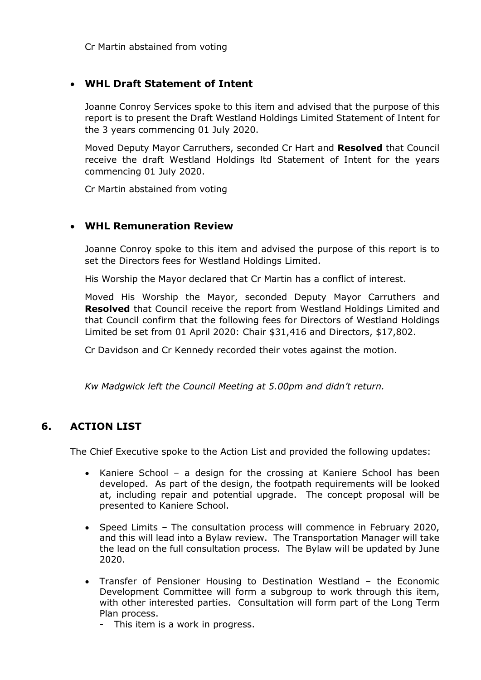## **WHL Draft Statement of Intent**

Joanne Conroy Services spoke to this item and advised that the purpose of this report is to present the Draft Westland Holdings Limited Statement of Intent for the 3 years commencing 01 July 2020.

Moved Deputy Mayor Carruthers, seconded Cr Hart and **Resolved** that Council receive the draft Westland Holdings ltd Statement of Intent for the years commencing 01 July 2020.

Cr Martin abstained from voting

## **WHL Remuneration Review**

Joanne Conroy spoke to this item and advised the purpose of this report is to set the Directors fees for Westland Holdings Limited.

His Worship the Mayor declared that Cr Martin has a conflict of interest.

Moved His Worship the Mayor, seconded Deputy Mayor Carruthers and **Resolved** that Council receive the report from Westland Holdings Limited and that Council confirm that the following fees for Directors of Westland Holdings Limited be set from 01 April 2020: Chair \$31,416 and Directors, \$17,802.

Cr Davidson and Cr Kennedy recorded their votes against the motion.

*Kw Madgwick left the Council Meeting at 5.00pm and didn't return.*

# **6. ACTION LIST**

The Chief Executive spoke to the Action List and provided the following updates:

- Kaniere School a design for the crossing at Kaniere School has been developed. As part of the design, the footpath requirements will be looked at, including repair and potential upgrade. The concept proposal will be presented to Kaniere School.
- Speed Limits The consultation process will commence in February 2020, and this will lead into a Bylaw review. The Transportation Manager will take the lead on the full consultation process. The Bylaw will be updated by June 2020.
- Transfer of Pensioner Housing to Destination Westland the Economic Development Committee will form a subgroup to work through this item, with other interested parties. Consultation will form part of the Long Term Plan process.
	- This item is a work in progress.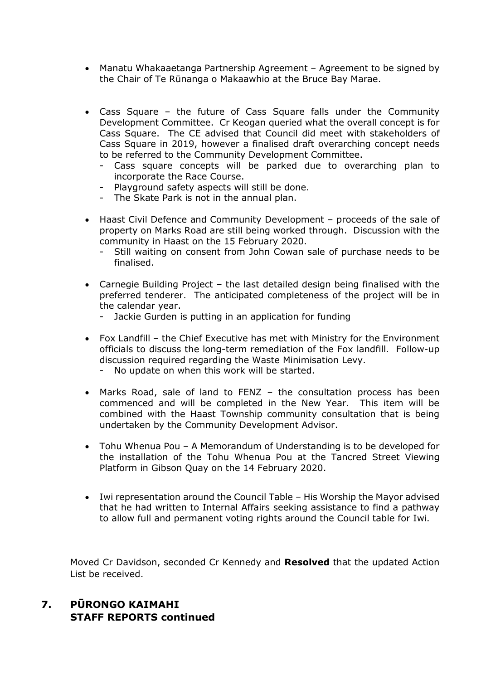- Manatu Whakaaetanga Partnership Agreement Agreement to be signed by the Chair of Te Rūnanga o Makaawhio at the Bruce Bay Marae.
- Cass Square the future of Cass Square falls under the Community Development Committee. Cr Keogan queried what the overall concept is for Cass Square. The CE advised that Council did meet with stakeholders of Cass Square in 2019, however a finalised draft overarching concept needs to be referred to the Community Development Committee.
	- Cass square concepts will be parked due to overarching plan to incorporate the Race Course.
	- Playground safety aspects will still be done.
	- The Skate Park is not in the annual plan.
- Haast Civil Defence and Community Development proceeds of the sale of property on Marks Road are still being worked through. Discussion with the community in Haast on the 15 February 2020.
	- Still waiting on consent from John Cowan sale of purchase needs to be finalised.
- Carnegie Building Project the last detailed design being finalised with the preferred tenderer. The anticipated completeness of the project will be in the calendar year.
	- Jackie Gurden is putting in an application for funding
- Fox Landfill the Chief Executive has met with Ministry for the Environment officials to discuss the long-term remediation of the Fox landfill. Follow-up discussion required regarding the Waste Minimisation Levy.
	- No update on when this work will be started.
- Marks Road, sale of land to FENZ the consultation process has been commenced and will be completed in the New Year. This item will be combined with the Haast Township community consultation that is being undertaken by the Community Development Advisor.
- Tohu Whenua Pou A Memorandum of Understanding is to be developed for the installation of the Tohu Whenua Pou at the Tancred Street Viewing Platform in Gibson Quay on the 14 February 2020.
- Iwi representation around the Council Table His Worship the Mayor advised that he had written to Internal Affairs seeking assistance to find a pathway to allow full and permanent voting rights around the Council table for Iwi.

Moved Cr Davidson, seconded Cr Kennedy and **Resolved** that the updated Action List be received.

# **7. PŪRONGO KAIMAHI STAFF REPORTS continued**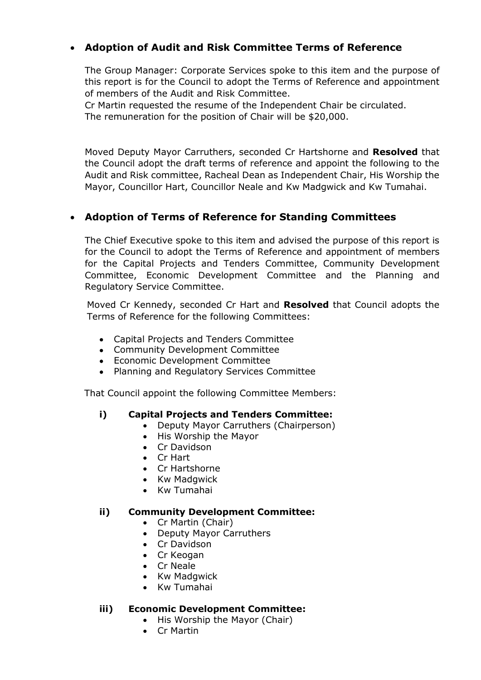# **Adoption of Audit and Risk Committee Terms of Reference**

The Group Manager: Corporate Services spoke to this item and the purpose of this report is for the Council to adopt the Terms of Reference and appointment of members of the Audit and Risk Committee.

Cr Martin requested the resume of the Independent Chair be circulated. The remuneration for the position of Chair will be \$20,000.

Moved Deputy Mayor Carruthers, seconded Cr Hartshorne and **Resolved** that the Council adopt the draft terms of reference and appoint the following to the Audit and Risk committee, Racheal Dean as Independent Chair, His Worship the Mayor, Councillor Hart, Councillor Neale and Kw Madgwick and Kw Tumahai.

# **Adoption of Terms of Reference for Standing Committees**

The Chief Executive spoke to this item and advised the purpose of this report is for the Council to adopt the Terms of Reference and appointment of members for the Capital Projects and Tenders Committee, Community Development Committee, Economic Development Committee and the Planning and Regulatory Service Committee.

Moved Cr Kennedy, seconded Cr Hart and **Resolved** that Council adopts the Terms of Reference for the following Committees:

- Capital Projects and Tenders Committee
- Community Development Committee
- Economic Development Committee
- Planning and Regulatory Services Committee

That Council appoint the following Committee Members:

## **i) Capital Projects and Tenders Committee:**

- Deputy Mayor Carruthers (Chairperson)
- His Worship the Mayor
- Cr Davidson
- Cr Hart
- Cr Hartshorne
- Kw Madgwick
- Kw Tumahai

## **ii) Community Development Committee:**

- Cr Martin (Chair)
- Deputy Mayor Carruthers
- Cr Davidson
- Cr Keogan
- Cr Neale
- Kw Madgwick
- Kw Tumahai

## **iii) Economic Development Committee:**

- His Worship the Mayor (Chair)
- Cr Martin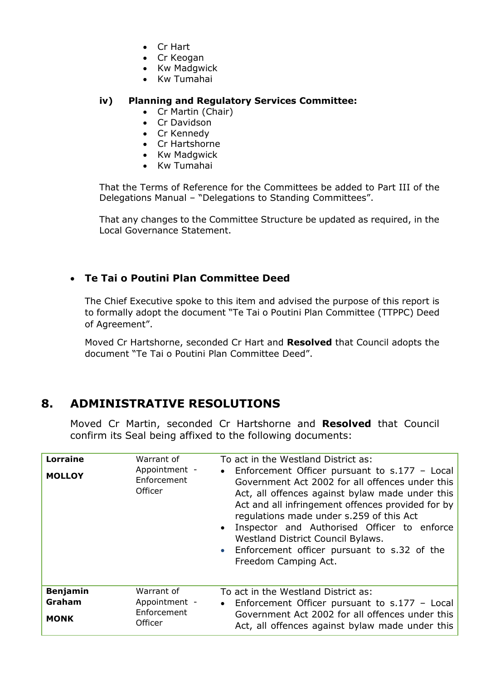- Cr Hart
- Cr Keogan
- Kw Madgwick
- Kw Tumahai

## **iv) Planning and Regulatory Services Committee:**

- Cr Martin (Chair)
- Cr Davidson
- Cr Kennedy
- Cr Hartshorne
- Kw Madgwick
- Kw Tumahai

That the Terms of Reference for the Committees be added to Part III of the Delegations Manual – "Delegations to Standing Committees".

That any changes to the Committee Structure be updated as required, in the Local Governance Statement.

# **Te Tai o Poutini Plan Committee Deed**

The Chief Executive spoke to this item and advised the purpose of this report is to formally adopt the document "Te Tai o Poutini Plan Committee (TTPPC) Deed of Agreement".

Moved Cr Hartshorne, seconded Cr Hart and **Resolved** that Council adopts the document "Te Tai o Poutini Plan Committee Deed".

# **8. ADMINISTRATIVE RESOLUTIONS**

Moved Cr Martin, seconded Cr Hartshorne and **Resolved** that Council confirm its Seal being affixed to the following documents:

| <b>Lorraine</b><br><b>MOLLOY</b>         | Warrant of<br>Appointment -<br>Enforcement<br>Officer | To act in the Westland District as:<br>Enforcement Officer pursuant to $s.177 - Local$<br>$\bullet$<br>Government Act 2002 for all offences under this<br>Act, all offences against bylaw made under this<br>Act and all infringement offences provided for by<br>regulations made under s.259 of this Act<br>Inspector and Authorised Officer to enforce<br>$\bullet$<br>Westland District Council Bylaws.<br>Enforcement officer pursuant to s.32 of the<br>$\bullet$<br>Freedom Camping Act. |
|------------------------------------------|-------------------------------------------------------|-------------------------------------------------------------------------------------------------------------------------------------------------------------------------------------------------------------------------------------------------------------------------------------------------------------------------------------------------------------------------------------------------------------------------------------------------------------------------------------------------|
| <b>Benjamin</b><br>Graham<br><b>MONK</b> | Warrant of<br>Appointment -<br>Enforcement<br>Officer | To act in the Westland District as:<br>Enforcement Officer pursuant to $s.177 -$ Local<br>$\bullet$<br>Government Act 2002 for all offences under this<br>Act, all offences against bylaw made under this                                                                                                                                                                                                                                                                                       |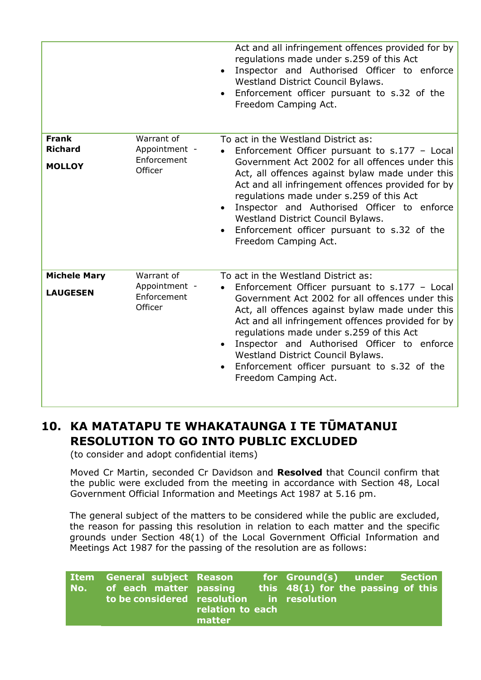|                                                 |                                                       | Act and all infringement offences provided for by<br>regulations made under s.259 of this Act<br>Inspector and Authorised Officer to enforce<br>$\bullet$<br>Westland District Council Bylaws.<br>Enforcement officer pursuant to s.32 of the<br>Freedom Camping Act.                                                                                                                                                                                                 |
|-------------------------------------------------|-------------------------------------------------------|-----------------------------------------------------------------------------------------------------------------------------------------------------------------------------------------------------------------------------------------------------------------------------------------------------------------------------------------------------------------------------------------------------------------------------------------------------------------------|
| <b>Frank</b><br><b>Richard</b><br><b>MOLLOY</b> | Warrant of<br>Appointment -<br>Enforcement<br>Officer | To act in the Westland District as:<br>Enforcement Officer pursuant to $s.177 - Local$<br>Government Act 2002 for all offences under this<br>Act, all offences against bylaw made under this<br>Act and all infringement offences provided for by<br>regulations made under s.259 of this Act<br>Inspector and Authorised Officer to enforce<br>$\bullet$<br>Westland District Council Bylaws.<br>Enforcement officer pursuant to s.32 of the<br>Freedom Camping Act. |
| <b>Michele Mary</b><br><b>LAUGESEN</b>          | Warrant of<br>Appointment -<br>Enforcement<br>Officer | To act in the Westland District as:<br>Enforcement Officer pursuant to s.177 - Local<br>Government Act 2002 for all offences under this<br>Act, all offences against bylaw made under this<br>Act and all infringement offences provided for by<br>regulations made under s.259 of this Act<br>Inspector and Authorised Officer to enforce<br>Westland District Council Bylaws.<br>Enforcement officer pursuant to s.32 of the<br>$\bullet$<br>Freedom Camping Act.   |

# **10. KA MATATAPU TE WHAKATAUNGA I TE TŪMATANUI RESOLUTION TO GO INTO PUBLIC EXCLUDED**

(to consider and adopt confidential items)

Moved Cr Martin, seconded Cr Davidson and **Resolved** that Council confirm that the public were excluded from the meeting in accordance with Section 48, Local Government Official Information and Meetings Act 1987 at 5.16 pm.

The general subject of the matters to be considered while the public are excluded, the reason for passing this resolution in relation to each matter and the specific grounds under Section 48(1) of the Local Government Official Information and Meetings Act 1987 for the passing of the resolution are as follows:

|  | <b>Item General subject Reason</b><br>No. of each matter passing<br>to be considered resolution in resolution | relation to each<br>matter |  | for Ground(s) under Section<br>this $48(1)$ for the passing of this |  |  |
|--|---------------------------------------------------------------------------------------------------------------|----------------------------|--|---------------------------------------------------------------------|--|--|
|--|---------------------------------------------------------------------------------------------------------------|----------------------------|--|---------------------------------------------------------------------|--|--|